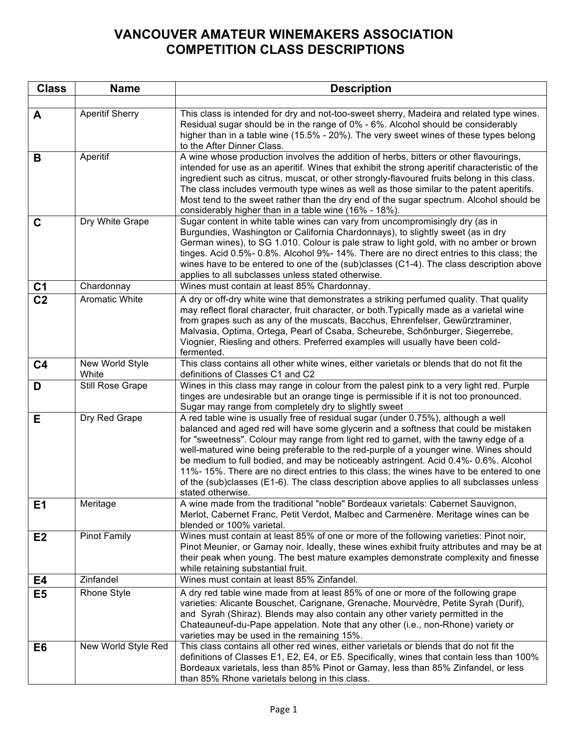## **VANCOUVER AMATEUR WINEMAKERS ASSOCIATION COMPETITION CLASS DESCRIPTIONS**

| <b>Class</b>   | <b>Name</b>              | <b>Description</b>                                                                                                                                                                                                                                                                                                                                                                                                                                                                                                                                                                                                                                          |
|----------------|--------------------------|-------------------------------------------------------------------------------------------------------------------------------------------------------------------------------------------------------------------------------------------------------------------------------------------------------------------------------------------------------------------------------------------------------------------------------------------------------------------------------------------------------------------------------------------------------------------------------------------------------------------------------------------------------------|
|                |                          |                                                                                                                                                                                                                                                                                                                                                                                                                                                                                                                                                                                                                                                             |
| A              | <b>Aperitif Sherry</b>   | This class is intended for dry and not-too-sweet sherry, Madeira and related type wines.<br>Residual sugar should be in the range of 0% - 6%. Alcohol should be considerably<br>higher than in a table wine (15.5% - 20%). The very sweet wines of these types belong<br>to the After Dinner Class.                                                                                                                                                                                                                                                                                                                                                         |
| B              | Aperitif                 | A wine whose production involves the addition of herbs, bitters or other flavourings,<br>intended for use as an aperitif. Wines that exhibit the strong aperitif characteristic of the<br>ingredient such as citrus, muscat, or other strongly-flavoured fruits belong in this class.<br>The class includes vermouth type wines as well as those similar to the patent aperitifs.<br>Most tend to the sweet rather than the dry end of the sugar spectrum. Alcohol should be<br>considerably higher than in a table wine (16% - 18%).                                                                                                                       |
| $\mathbf C$    | Dry White Grape          | Sugar content in white table wines can vary from uncompromisingly dry (as in<br>Burgundies, Washington or California Chardonnays), to slightly sweet (as in dry<br>German wines), to SG 1.010. Colour is pale straw to light gold, with no amber or brown<br>tinges. Acid 0.5%- 0.8%. Alcohol 9%- 14%. There are no direct entries to this class; the<br>wines have to be entered to one of the (sub)classes (C1-4). The class description above<br>applies to all subclasses unless stated otherwise.                                                                                                                                                      |
| C <sub>1</sub> | Chardonnay               | Wines must contain at least 85% Chardonnay.                                                                                                                                                                                                                                                                                                                                                                                                                                                                                                                                                                                                                 |
| C <sub>2</sub> | <b>Aromatic White</b>    | A dry or off-dry white wine that demonstrates a striking perfumed quality. That quality<br>may reflect floral character, fruit character, or both. Typically made as a varietal wine<br>from grapes such as any of the muscats, Bacchus, Ehrenfelser, Gewürztraminer,<br>Malvasia, Optima, Ortega, Pearl of Csaba, Scheurebe, Schönburger, Siegerrebe,<br>Viognier, Riesling and others. Preferred examples will usually have been cold-<br>fermented.                                                                                                                                                                                                      |
| C <sub>4</sub> | New World Style<br>White | This class contains all other white wines, either varietals or blends that do not fit the<br>definitions of Classes C1 and C2                                                                                                                                                                                                                                                                                                                                                                                                                                                                                                                               |
| D              | Still Rose Grape         | Wines in this class may range in colour from the palest pink to a very light red. Purple<br>tinges are undesirable but an orange tinge is permissible if it is not too pronounced.<br>Sugar may range from completely dry to slightly sweet                                                                                                                                                                                                                                                                                                                                                                                                                 |
| E.             | Dry Red Grape            | A red table wine is usually free of residual sugar (under 0.75%), although a well<br>balanced and aged red will have some glycerin and a softness that could be mistaken<br>for "sweetness". Colour may range from light red to garnet, with the tawny edge of a<br>well-matured wine being preferable to the red-purple of a younger wine. Wines should<br>be medium to full bodied, and may be noticeably astringent. Acid 0.4%-0.6%. Alcohol<br>11%-15%. There are no direct entries to this class; the wines have to be entered to one<br>of the (sub)classes (E1-6). The class description above applies to all subclasses unless<br>stated otherwise. |
| E <sub>1</sub> | Meritage                 | A wine made from the traditional "noble" Bordeaux varietals: Cabernet Sauvignon,<br>Merlot, Cabernet Franc, Petit Verdot, Malbec and Carmenère. Meritage wines can be<br>blended or 100% varietal.                                                                                                                                                                                                                                                                                                                                                                                                                                                          |
| E2             | <b>Pinot Family</b>      | Wines must contain at least 85% of one or more of the following varieties: Pinot noir,<br>Pinot Meunier, or Gamay noir. Ideally, these wines exhibit fruity attributes and may be at<br>their peak when young. The best mature examples demonstrate complexity and finesse<br>while retaining substantial fruit.                                                                                                                                                                                                                                                                                                                                            |
| E4             | Zinfandel                | Wines must contain at least 85% Zinfandel.                                                                                                                                                                                                                                                                                                                                                                                                                                                                                                                                                                                                                  |
| E <sub>5</sub> | <b>Rhone Style</b>       | A dry red table wine made from at least 85% of one or more of the following grape<br>varieties: Alicante Bouschet, Carignane, Grenache, Mourvèdre, Petite Syrah (Durif),<br>and Syrah (Shiraz). Blends may also contain any other variety permitted in the<br>Chateauneuf-du-Pape appelation. Note that any other (i.e., non-Rhone) variety or<br>varieties may be used in the remaining 15%.                                                                                                                                                                                                                                                               |
| E <sub>6</sub> | New World Style Red      | This class contains all other red wines, either varietals or blends that do not fit the<br>definitions of Classes E1, E2, E4, or E5. Specifically, wines that contain less than 100%<br>Bordeaux varietals, less than 85% Pinot or Gamay, less than 85% Zinfandel, or less<br>than 85% Rhone varietals belong in this class.                                                                                                                                                                                                                                                                                                                                |